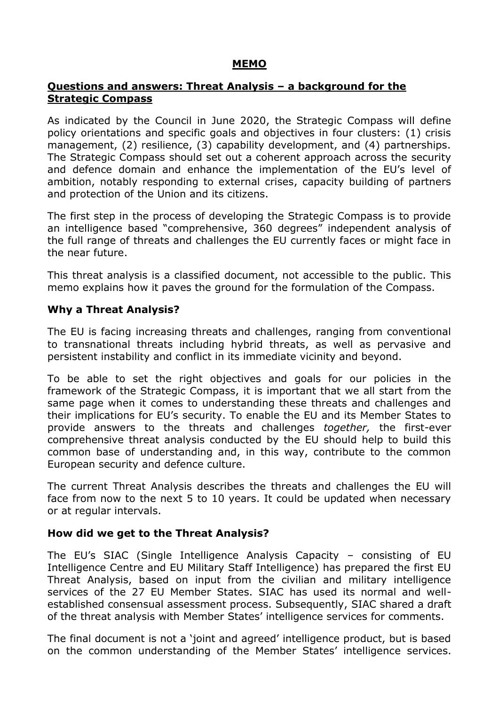# **MEMO**

# **Questions and answers: Threat Analysis – a background for the Strategic Compass**

As indicated by the Council in June 2020, the Strategic Compass will define policy orientations and specific goals and objectives in four clusters: (1) crisis management, (2) resilience, (3) capability development, and (4) partnerships. The Strategic Compass should set out a coherent approach across the security and defence domain and enhance the implementation of the EU's level of ambition, notably responding to external crises, capacity building of partners and protection of the Union and its citizens.

The first step in the process of developing the Strategic Compass is to provide an intelligence based "comprehensive, 360 degrees" independent analysis of the full range of threats and challenges the EU currently faces or might face in the near future.

This threat analysis is a classified document, not accessible to the public. This memo explains how it paves the ground for the formulation of the Compass.

#### **Why a Threat Analysis?**

The EU is facing increasing threats and challenges, ranging from conventional to transnational threats including hybrid threats, as well as pervasive and persistent instability and conflict in its immediate vicinity and beyond.

To be able to set the right objectives and goals for our policies in the framework of the Strategic Compass, it is important that we all start from the same page when it comes to understanding these threats and challenges and their implications for EU's security. To enable the EU and its Member States to provide answers to the threats and challenges *together,* the first-ever comprehensive threat analysis conducted by the EU should help to build this common base of understanding and, in this way, contribute to the common European security and defence culture.

The current Threat Analysis describes the threats and challenges the EU will face from now to the next 5 to 10 years. It could be updated when necessary or at regular intervals.

#### **How did we get to the Threat Analysis?**

The EU's SIAC (Single Intelligence Analysis Capacity – consisting of EU Intelligence Centre and EU Military Staff Intelligence) has prepared the first EU Threat Analysis, based on input from the civilian and military intelligence services of the 27 EU Member States. SIAC has used its normal and wellestablished consensual assessment process. Subsequently, SIAC shared a draft of the threat analysis with Member States' intelligence services for comments.

The final document is not a 'joint and agreed' intelligence product, but is based on the common understanding of the Member States' intelligence services.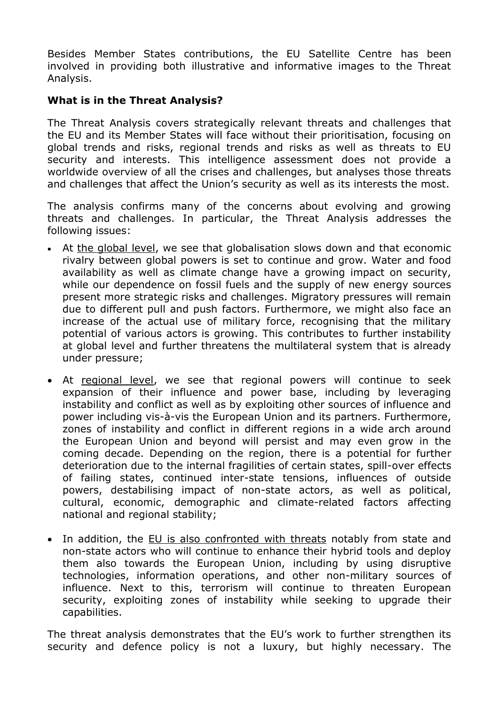Besides Member States contributions, the EU Satellite Centre has been involved in providing both illustrative and informative images to the Threat Analysis.

# **What is in the Threat Analysis?**

The Threat Analysis covers strategically relevant threats and challenges that the EU and its Member States will face without their prioritisation, focusing on global trends and risks, regional trends and risks as well as threats to EU security and interests. This intelligence assessment does not provide a worldwide overview of all the crises and challenges, but analyses those threats and challenges that affect the Union's security as well as its interests the most.

The analysis confirms many of the concerns about evolving and growing threats and challenges. In particular, the Threat Analysis addresses the following issues:

- At the global level, we see that globalisation slows down and that economic rivalry between global powers is set to continue and grow. Water and food availability as well as climate change have a growing impact on security, while our dependence on fossil fuels and the supply of new energy sources present more strategic risks and challenges. Migratory pressures will remain due to different pull and push factors. Furthermore, we might also face an increase of the actual use of military force, recognising that the military potential of various actors is growing. This contributes to further instability at global level and further threatens the multilateral system that is already under pressure;
- At regional level, we see that regional powers will continue to seek expansion of their influence and power base, including by leveraging instability and conflict as well as by exploiting other sources of influence and power including vis-à-vis the European Union and its partners. Furthermore, zones of instability and conflict in different regions in a wide arch around the European Union and beyond will persist and may even grow in the coming decade. Depending on the region, there is a potential for further deterioration due to the internal fragilities of certain states, spill-over effects of failing states, continued inter-state tensions, influences of outside powers, destabilising impact of non-state actors, as well as political, cultural, economic, demographic and climate-related factors affecting national and regional stability;
- In addition, the EU is also confronted with threats notably from state and non-state actors who will continue to enhance their hybrid tools and deploy them also towards the European Union, including by using disruptive technologies, information operations, and other non-military sources of influence. Next to this, terrorism will continue to threaten European security, exploiting zones of instability while seeking to upgrade their capabilities.

The threat analysis demonstrates that the EU's work to further strengthen its security and defence policy is not a luxury, but highly necessary. The